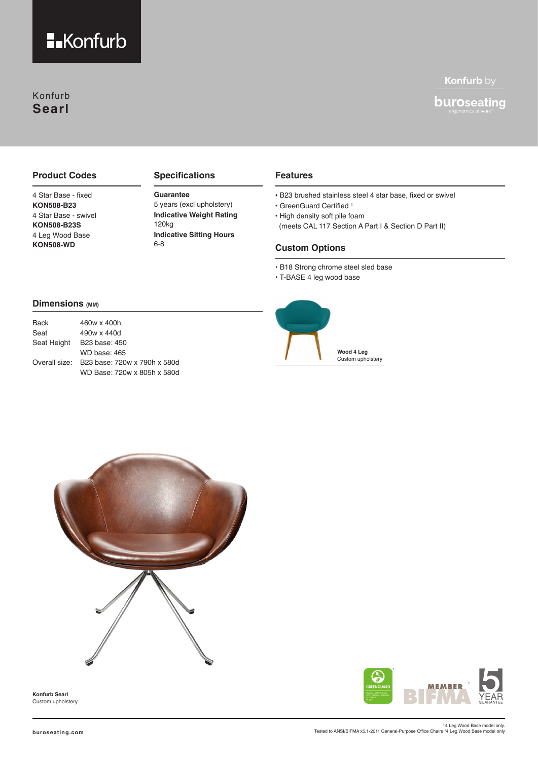

## Konfurb **Searl**

## Konfurb by

# buroseating

#### **Product Codes**

4 Star Base - fixed **KON508-B23** 4 Star Base - swivel **KON508-B23S** 4 Leg Wood Base **KON508-WD**

#### **Specifications**

### **Guarantee** 5 years (excl upholstery)

**Indicative Weight Rating Indicative Sitting Hours** 120kg 6-8

#### **Features**

- B23 brushed stainless steel 4 star base, fixed or swivel
- GreenGuard Certified 1
- High density soft pile foam
- (meets CAL 117 Section A Part I & Section D Part II)

#### **Custom Options**

- B18 Strong chrome steel sled base
- T-BASE 4 leg wood base

#### **Dimensions (MM)**

| <b>Back</b> | 460w x 400h                                |
|-------------|--------------------------------------------|
| Seat        | 490w x 440d                                |
|             | Seat Height B23 base: 450                  |
|             | WD base: 465                               |
|             | Overall size: B23 base: 720w x 790h x 580d |
|             | WD Base: 720w x 805h x 580d                |





**Konfurb Searl** Custom upholstery